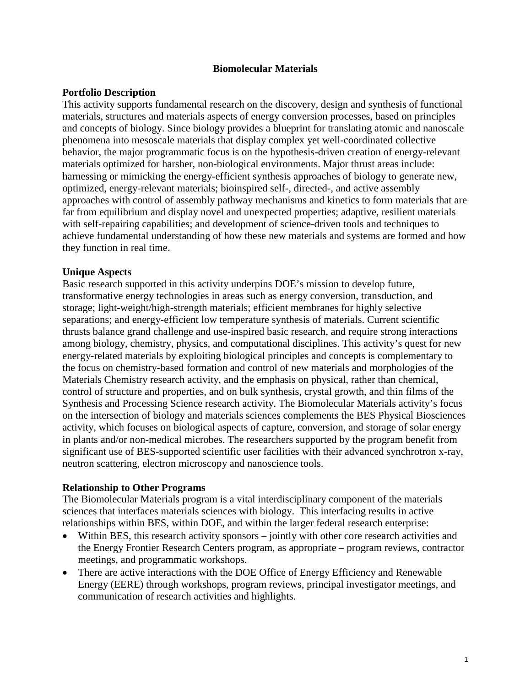### **Biomolecular Materials**

## **Portfolio Description**

This activity supports fundamental research on the discovery, design and synthesis of functional materials, structures and materials aspects of energy conversion processes, based on principles and concepts of biology. Since biology provides a blueprint for translating atomic and nanoscale phenomena into mesoscale materials that display complex yet well-coordinated collective behavior, the major programmatic focus is on the hypothesis-driven creation of energy-relevant materials optimized for harsher, non-biological environments. Major thrust areas include: harnessing or mimicking the energy-efficient synthesis approaches of biology to generate new, optimized, energy-relevant materials; bioinspired self-, directed-, and active assembly approaches with control of assembly pathway mechanisms and kinetics to form materials that are far from equilibrium and display novel and unexpected properties; adaptive, resilient materials with self-repairing capabilities; and development of science-driven tools and techniques to achieve fundamental understanding of how these new materials and systems are formed and how they function in real time.

## **Unique Aspects**

Basic research supported in this activity underpins DOE's mission to develop future, transformative energy technologies in areas such as energy conversion, transduction, and storage; light-weight/high-strength materials; efficient membranes for highly selective separations; and energy-efficient low temperature synthesis of materials. Current scientific thrusts balance grand challenge and use-inspired basic research, and require strong interactions among biology, chemistry, physics, and computational disciplines. This activity's quest for new energy-related materials by exploiting biological principles and concepts is complementary to the focus on chemistry-based formation and control of new materials and morphologies of the Materials Chemistry research activity, and the emphasis on physical, rather than chemical, control of structure and properties, and on bulk synthesis, crystal growth, and thin films of the Synthesis and Processing Science research activity. The Biomolecular Materials activity's focus on the intersection of biology and materials sciences complements the BES Physical Biosciences activity, which focuses on biological aspects of capture, conversion, and storage of solar energy in plants and/or non-medical microbes. The researchers supported by the program benefit from significant use of BES-supported scientific user facilities with their advanced synchrotron x-ray, neutron scattering, electron microscopy and nanoscience tools.

### **Relationship to Other Programs**

The Biomolecular Materials program is a vital interdisciplinary component of the materials sciences that interfaces materials sciences with biology. This interfacing results in active relationships within BES, within DOE, and within the larger federal research enterprise:

- Within BES, this research activity sponsors jointly with other core research activities and the Energy Frontier Research Centers program, as appropriate – program reviews, contractor meetings, and programmatic workshops.
- There are active interactions with the DOE Office of Energy Efficiency and Renewable Energy (EERE) through workshops, program reviews, principal investigator meetings, and communication of research activities and highlights.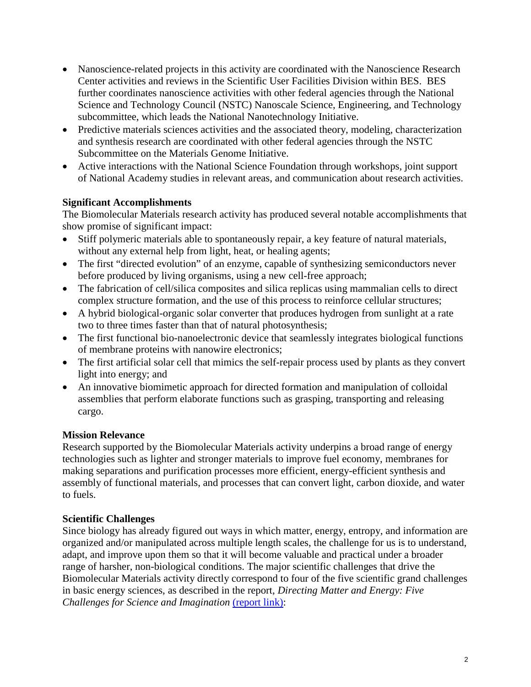- Nanoscience-related projects in this activity are coordinated with the Nanoscience Research Center activities and reviews in the Scientific User Facilities Division within BES. BES further coordinates nanoscience activities with other federal agencies through the National Science and Technology Council (NSTC) Nanoscale Science, Engineering, and Technology subcommittee, which leads the National Nanotechnology Initiative.
- Predictive materials sciences activities and the associated theory, modeling, characterization and synthesis research are coordinated with other federal agencies through the NSTC Subcommittee on the Materials Genome Initiative.
- Active interactions with the National Science Foundation through workshops, joint support of National Academy studies in relevant areas, and communication about research activities.

## **Significant Accomplishments**

The Biomolecular Materials research activity has produced several notable accomplishments that show promise of significant impact:

- Stiff polymeric materials able to spontaneously repair, a key feature of natural materials, without any external help from light, heat, or healing agents;
- The first "directed evolution" of an enzyme, capable of synthesizing semiconductors never before produced by living organisms, using a new cell-free approach;
- The fabrication of cell/silica composites and silica replicas using mammalian cells to direct complex structure formation, and the use of this process to reinforce cellular structures;
- A hybrid biological-organic solar converter that produces hydrogen from sunlight at a rate two to three times faster than that of natural photosynthesis;
- The first functional bio-nanoelectronic device that seamlessly integrates biological functions of membrane proteins with nanowire electronics;
- The first artificial solar cell that mimics the self-repair process used by plants as they convert light into energy; and
- An innovative biomimetic approach for directed formation and manipulation of colloidal assemblies that perform elaborate functions such as grasping, transporting and releasing cargo.

# **Mission Relevance**

Research supported by the Biomolecular Materials activity underpins a broad range of energy technologies such as lighter and stronger materials to improve fuel economy, membranes for making separations and purification processes more efficient, energy-efficient synthesis and assembly of functional materials, and processes that can convert light, carbon dioxide, and water to fuels.

# **Scientific Challenges**

Since biology has already figured out ways in which matter, energy, entropy, and information are organized and/or manipulated across multiple length scales, the challenge for us is to understand, adapt, and improve upon them so that it will become valuable and practical under a broader range of harsher, non-biological conditions. The major scientific challenges that drive the Biomolecular Materials activity directly correspond to four of the five scientific grand challenges in basic energy sciences, as described in the report, *Directing Matter and Energy: Five Challenges for Science and Imagination* [\(report link\):](http://science.energy.gov/~/media/bes/pdf/reports/files/gc_rpt.pdf)